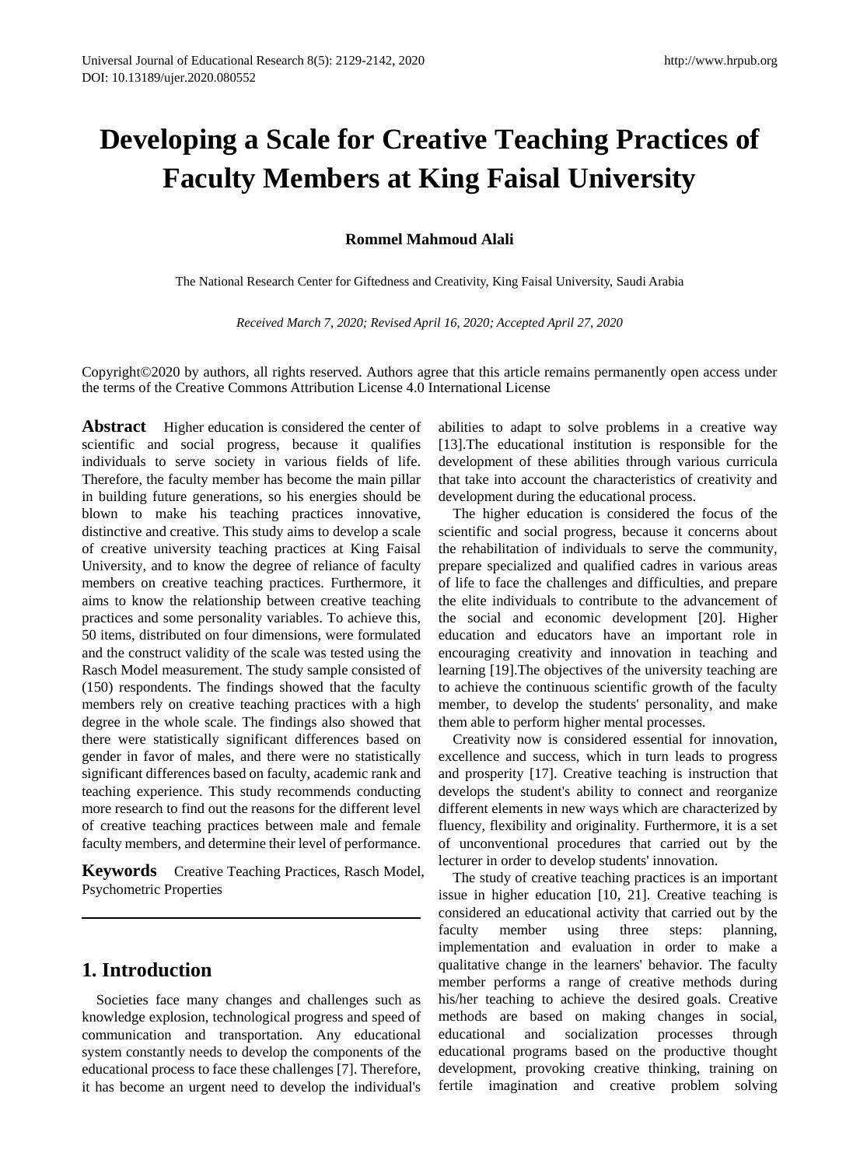# **Developing a Scale for Creative Teaching Practices of Faculty Members at King Faisal University**

**Rommel Mahmoud Alali**

The National Research Center for Giftedness and Creativity, King Faisal University, Saudi Arabia

*Received March 7, 2020; Revised April 16, 2020; Accepted April 27, 2020*

Copyright©2020 by authors, all rights reserved. Authors agree that this article remains permanently open access under the terms of the Creative Commons Attribution License 4.0 International License

**Abstract** Higher education is considered the center of scientific and social progress, because it qualifies individuals to serve society in various fields of life. Therefore, the faculty member has become the main pillar in building future generations, so his energies should be blown to make his teaching practices innovative, distinctive and creative. This study aims to develop a scale of creative university teaching practices at King Faisal University, and to know the degree of reliance of faculty members on creative teaching practices. Furthermore, it aims to know the relationship between creative teaching practices and some personality variables. To achieve this, 50 items, distributed on four dimensions, were formulated and the construct validity of the scale was tested using the Rasch Model measurement. The study sample consisted of (150) respondents. The findings showed that the faculty members rely on creative teaching practices with a high degree in the whole scale. The findings also showed that there were statistically significant differences based on gender in favor of males, and there were no statistically significant differences based on faculty, academic rank and teaching experience. This study recommends conducting more research to find out the reasons for the different level of creative teaching practices between male and female faculty members, and determine their level of performance.

**Keywords** Creative Teaching Practices, Rasch Model, Psychometric Properties

#### **1. Introduction**

Societies face many changes and challenges such as knowledge explosion, technological progress and speed of communication and transportation. Any educational system constantly needs to develop the components of the educational process to face these challenges [7]. Therefore, it has become an urgent need to develop the individual's

abilities to adapt to solve problems in a creative way [13]. The educational institution is responsible for the development of these abilities through various curricula that take into account the characteristics of creativity and development during the educational process.

The higher education is considered the focus of the scientific and social progress, because it concerns about the rehabilitation of individuals to serve the community, prepare specialized and qualified cadres in various areas of life to face the challenges and difficulties, and prepare the elite individuals to contribute to the advancement of the social and economic development [20]. Higher education and educators have an important role in encouraging creativity and innovation in teaching and learning [19].The objectives of the university teaching are to achieve the continuous scientific growth of the faculty member, to develop the students' personality, and make them able to perform higher mental processes.

Creativity now is considered essential for innovation, excellence and success, which in turn leads to progress and prosperity [17]. Creative teaching is instruction that develops the student's ability to connect and reorganize different elements in new ways which are characterized by fluency, flexibility and originality. Furthermore, it is a set of unconventional procedures that carried out by the lecturer in order to develop students' innovation.

The study of creative teaching practices is an important issue in higher education [10, 21]. Creative teaching is considered an educational activity that carried out by the faculty member using three steps: planning, implementation and evaluation in order to make a qualitative change in the learners' behavior. The faculty member performs a range of creative methods during his/her teaching to achieve the desired goals. Creative methods are based on making changes in social, educational and socialization processes through educational programs based on the productive thought development, provoking creative thinking, training on fertile imagination and creative problem solving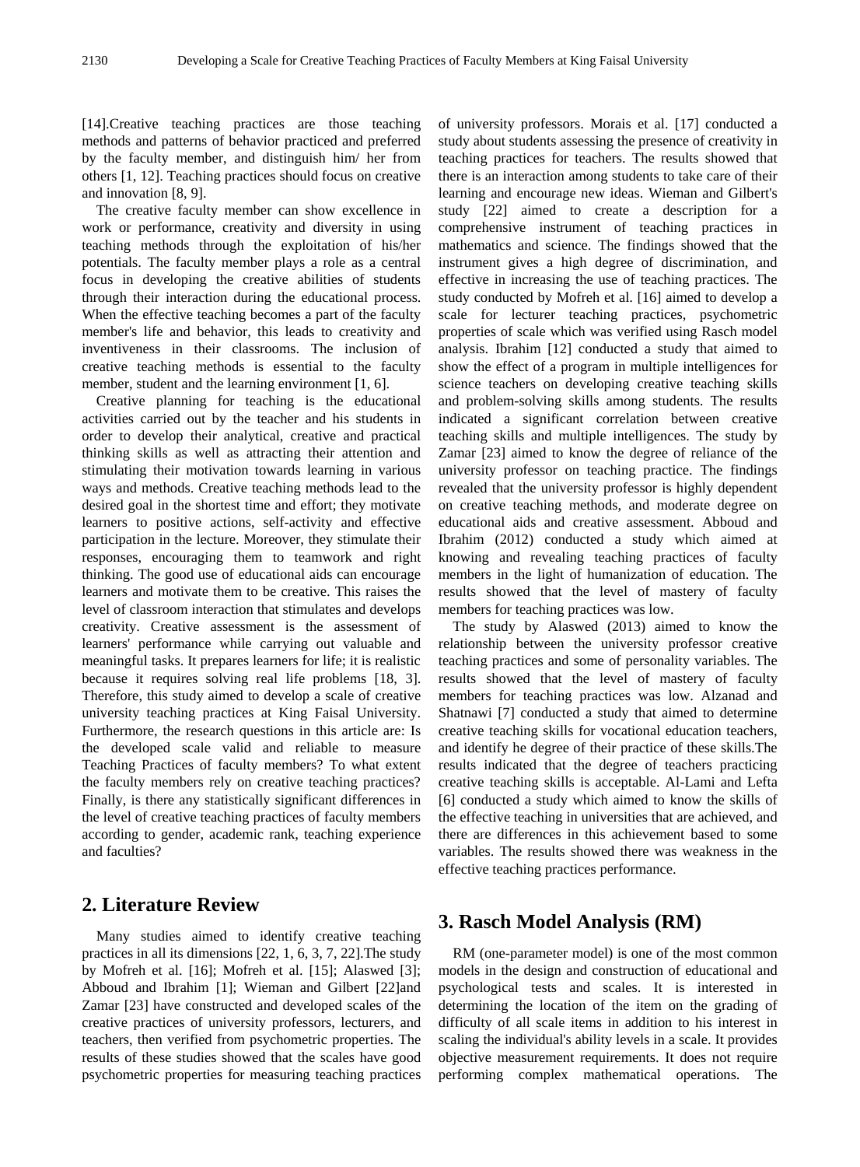[14].Creative teaching practices are those teaching methods and patterns of behavior practiced and preferred by the faculty member, and distinguish him/ her from others [1, 12]. Teaching practices should focus on creative and innovation [8, 9].

The creative faculty member can show excellence in work or performance, creativity and diversity in using teaching methods through the exploitation of his/her potentials. The faculty member plays a role as a central focus in developing the creative abilities of students through their interaction during the educational process. When the effective teaching becomes a part of the faculty member's life and behavior, this leads to creativity and inventiveness in their classrooms. The inclusion of creative teaching methods is essential to the faculty member, student and the learning environment [1, 6].

Creative planning for teaching is the educational activities carried out by the teacher and his students in order to develop their analytical, creative and practical thinking skills as well as attracting their attention and stimulating their motivation towards learning in various ways and methods. Creative teaching methods lead to the desired goal in the shortest time and effort; they motivate learners to positive actions, self-activity and effective participation in the lecture. Moreover, they stimulate their responses, encouraging them to teamwork and right thinking. The good use of educational aids can encourage learners and motivate them to be creative. This raises the level of classroom interaction that stimulates and develops creativity. Creative assessment is the assessment of learners' performance while carrying out valuable and meaningful tasks. It prepares learners for life; it is realistic because it requires solving real life problems [18, 3]. Therefore, this study aimed to develop a scale of creative university teaching practices at King Faisal University. Furthermore, the research questions in this article are: Is the developed scale valid and reliable to measure Teaching Practices of faculty members? To what extent the faculty members rely on creative teaching practices? Finally, is there any statistically significant differences in the level of creative teaching practices of faculty members according to gender, academic rank, teaching experience and faculties?

## **2. Literature Review**

Many studies aimed to identify creative teaching practices in all its dimensions [22, 1, 6, 3, 7, 22].The study by Mofreh et al. [16]; Mofreh et al. [15]; Alaswed [3]; Abboud and Ibrahim [1]; Wieman and Gilbert [22]and Zamar [23] have constructed and developed scales of the creative practices of university professors, lecturers, and teachers, then verified from psychometric properties. The results of these studies showed that the scales have good psychometric properties for measuring teaching practices of university professors. Morais et al. [17] conducted a study about students assessing the presence of creativity in teaching practices for teachers. The results showed that there is an interaction among students to take care of their learning and encourage new ideas. Wieman and Gilbert's study [22] aimed to create a description for a comprehensive instrument of teaching practices in mathematics and science. The findings showed that the instrument gives a high degree of discrimination, and effective in increasing the use of teaching practices. The study conducted by Mofreh et al. [16] aimed to develop a scale for lecturer teaching practices, psychometric properties of scale which was verified using Rasch model analysis. Ibrahim [12] conducted a study that aimed to show the effect of a program in multiple intelligences for science teachers on developing creative teaching skills and problem-solving skills among students. The results indicated a significant correlation between creative teaching skills and multiple intelligences. The study by Zamar [23] aimed to know the degree of reliance of the university professor on teaching practice. The findings revealed that the university professor is highly dependent on creative teaching methods, and moderate degree on educational aids and creative assessment. Abboud and Ibrahim (2012) conducted a study which aimed at knowing and revealing teaching practices of faculty members in the light of humanization of education. The results showed that the level of mastery of faculty members for teaching practices was low.

The study by Alaswed (2013) aimed to know the relationship between the university professor creative teaching practices and some of personality variables. The results showed that the level of mastery of faculty members for teaching practices was low. Alzanad and Shatnawi [7] conducted a study that aimed to determine creative teaching skills for vocational education teachers, and identify he degree of their practice of these skills.The results indicated that the degree of teachers practicing creative teaching skills is acceptable. Al-Lami and Lefta [6] conducted a study which aimed to know the skills of the effective teaching in universities that are achieved, and there are differences in this achievement based to some variables. The results showed there was weakness in the effective teaching practices performance.

#### **3. Rasch Model Analysis (RM)**

RM (one-parameter model) is one of the most common models in the design and construction of educational and psychological tests and scales. It is interested in determining the location of the item on the grading of difficulty of all scale items in addition to his interest in scaling the individual's ability levels in a scale. It provides objective measurement requirements. It does not require performing complex mathematical operations. The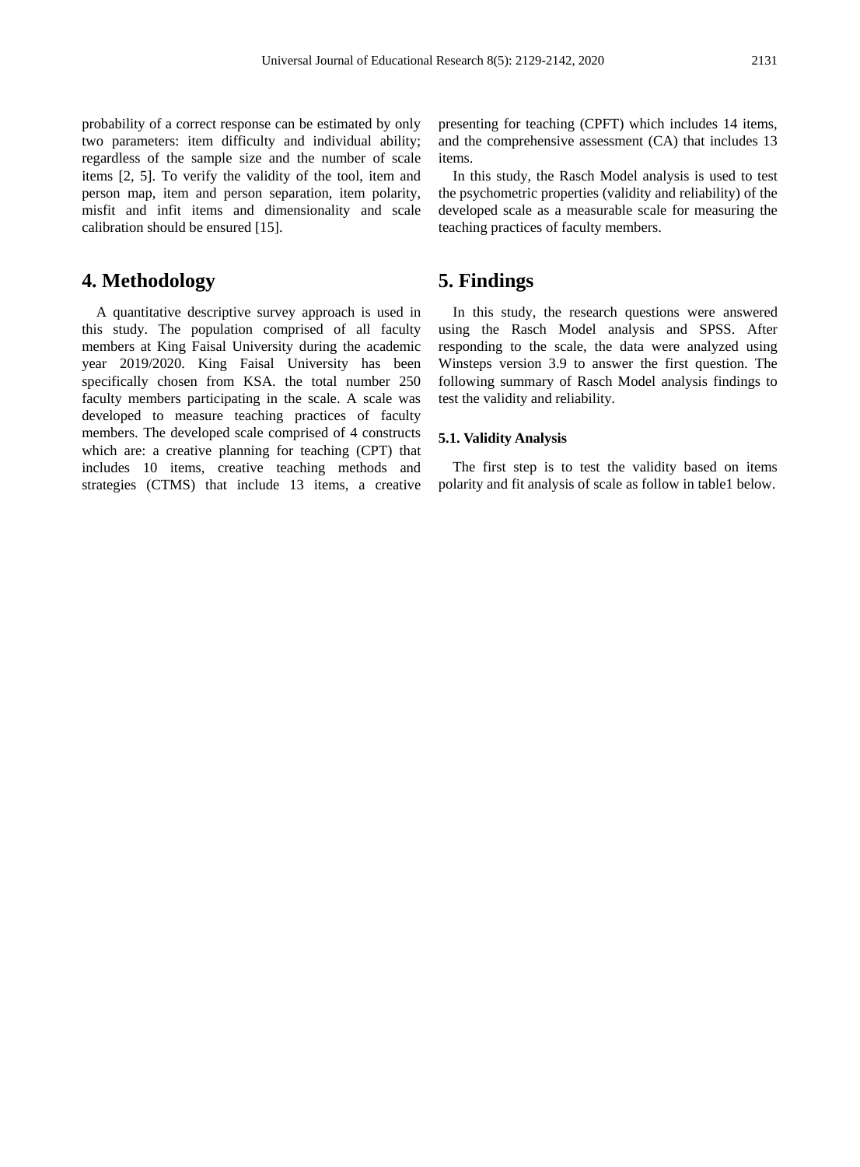probability of a correct response can be estimated by only two parameters: item difficulty and individual ability; regardless of the sample size and the number of scale items [2, 5]. To verify the validity of the tool, item and person map, item and person separation, item polarity, misfit and infit items and dimensionality and scale calibration should be ensured [15].

#### **4. Methodology**

A quantitative descriptive survey approach is used in this study. The population comprised of all faculty members at King Faisal University during the academic year 2019/2020. King Faisal University has been specifically chosen from KSA. the total number 250 faculty members participating in the scale. A scale was developed to measure teaching practices of faculty members. The developed scale comprised of 4 constructs which are: a creative planning for teaching (CPT) that includes 10 items, creative teaching methods and strategies (CTMS) that include 13 items, a creative

presenting for teaching (CPFT) which includes 14 items, and the comprehensive assessment (CA) that includes 13 items.

In this study, the Rasch Model analysis is used to test the psychometric properties (validity and reliability) of the developed scale as a measurable scale for measuring the teaching practices of faculty members.

#### **5. Findings**

In this study, the research questions were answered using the Rasch Model analysis and SPSS. After responding to the scale, the data were analyzed using Winsteps version 3.9 to answer the first question. The following summary of Rasch Model analysis findings to test the validity and reliability.

#### **5.1. Validity Analysis**

The first step is to test the validity based on items polarity and fit analysis of scale as follow in table1 below.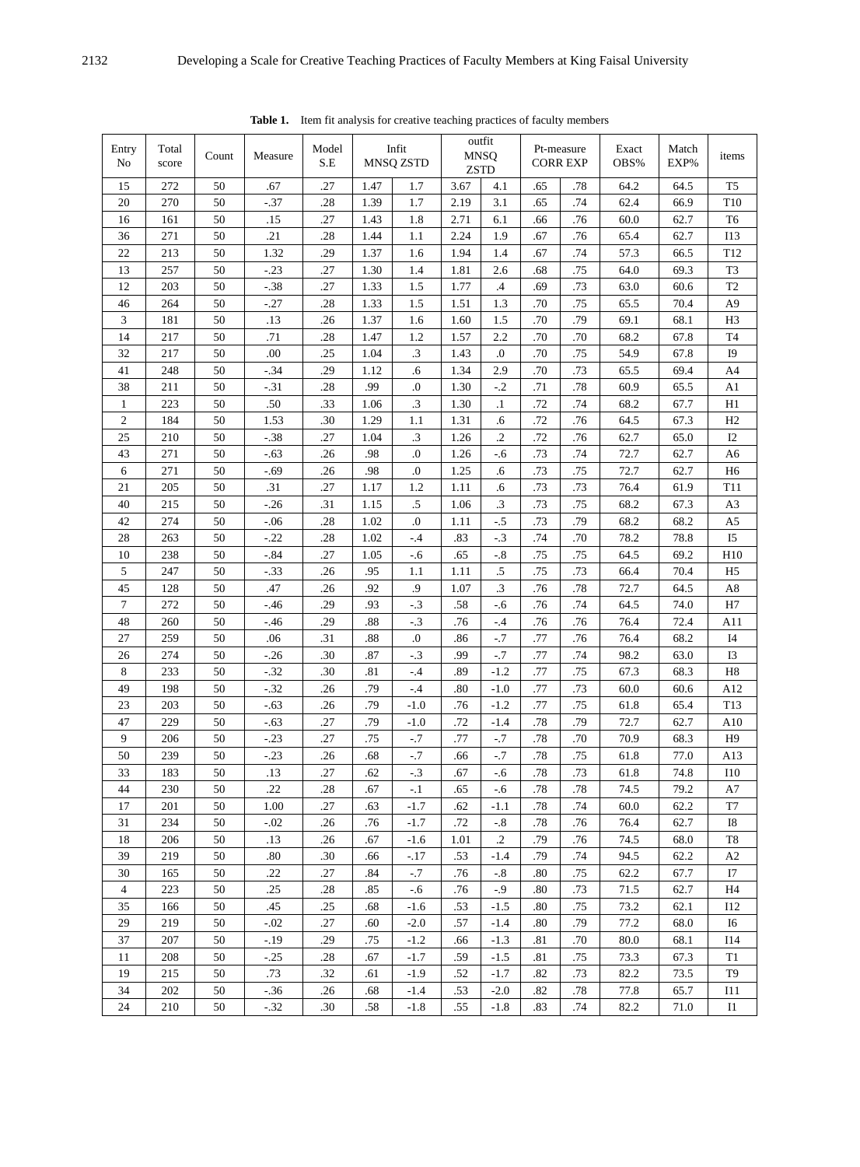| Entry<br>No      | Total<br>score | Count | Measure | Model<br>S.E |      | Infit<br>MNSQ ZSTD |      | outfit<br><b>MNSQ</b><br><b>ZSTD</b> |     | Pt-measure<br><b>CORR EXP</b> | Exact<br>OBS% | Match<br>EXP% | items               |
|------------------|----------------|-------|---------|--------------|------|--------------------|------|--------------------------------------|-----|-------------------------------|---------------|---------------|---------------------|
| 15               | 272            | 50    | .67     | .27          | 1.47 | 1.7                | 3.67 | 4.1                                  | .65 | .78                           | 64.2          | 64.5          | T <sub>5</sub>      |
| 20               | 270            | 50    | $-37$   | .28          | 1.39 | 1.7                | 2.19 | 3.1                                  | .65 | .74                           | 62.4          | 66.9          | T10                 |
| 16               | 161            | 50    | .15     | .27          | 1.43 | 1.8                | 2.71 | 6.1                                  | .66 | .76                           | 60.0          | 62.7          | T <sub>6</sub>      |
| 36               | 271            | 50    | .21     | .28          | 1.44 | 1.1                | 2.24 | 1.9                                  | .67 | .76                           | 65.4          | 62.7          | I13                 |
| 22               | 213            | 50    | 1.32    | .29          | 1.37 | 1.6                | 1.94 | 1.4                                  | .67 | .74                           | 57.3          | 66.5          | T <sub>12</sub>     |
| 13               | 257            | 50    | $-.23$  | .27          | 1.30 | 1.4                | 1.81 | 2.6                                  | .68 | .75                           | 64.0          | 69.3          | T <sub>3</sub>      |
| 12               | 203            | 50    | $-.38$  | .27          | 1.33 | 1.5                | 1.77 | .4                                   | .69 | .73                           | 63.0          | 60.6          | $\operatorname{T2}$ |
| 46               | 264            | 50    | $-.27$  | .28          | 1.33 | 1.5                | 1.51 | 1.3                                  | .70 | .75                           | 65.5          | 70.4          | A9                  |
| $\mathfrak z$    | 181            | 50    | .13     | .26          | 1.37 | 1.6                | 1.60 | 1.5                                  | .70 | .79                           | 69.1          | 68.1          | H <sub>3</sub>      |
| 14               | 217            | 50    | .71     | .28          | 1.47 | 1.2                | 1.57 | 2.2                                  | .70 | .70                           | 68.2          | 67.8          | T <sub>4</sub>      |
| 32               | 217            | 50    | .00     | .25          | 1.04 | $\cdot$ 3          | 1.43 | $\boldsymbol{0}$                     | .70 | .75                           | 54.9          | 67.8          | I9                  |
| 41               | 248            | 50    | $-.34$  | .29          | 1.12 | .6                 | 1.34 | 2.9                                  | .70 | .73                           | 65.5          | 69.4          | A4                  |
| 38               | 211            | 50    | $-31$   | .28          | .99  | $\cdot$            | 1.30 | $-.2$                                | .71 | .78                           | 60.9          | 65.5          | A1                  |
| 1                | 223            | 50    | .50     | .33          | 1.06 | $\cdot$ 3          | 1.30 | $\cdot$                              | .72 | .74                           | 68.2          | 67.7          | H1                  |
| $\boldsymbol{2}$ | 184            | 50    | 1.53    | .30          | 1.29 | 1.1                | 1.31 | .6                                   | .72 | .76                           | 64.5          | 67.3          | H2                  |
| 25               | 210            | 50    | $-.38$  | .27          | 1.04 | .3                 | 1.26 | $\cdot$                              | .72 | .76                           | 62.7          | 65.0          | I2                  |
| 43               | 271            | 50    | $-.63$  | .26          | .98  | .0                 | 1.26 | $-.6$                                | .73 | .74                           | 72.7          | 62.7          | A <sub>6</sub>      |
| 6                | 271            | 50    | $-.69$  | .26          | .98  | $\boldsymbol{0}$   | 1.25 | .6                                   | .73 | .75                           | 72.7          | 62.7          | H <sub>6</sub>      |
| 21               | 205            | 50    | .31     | .27          | 1.17 | 1.2                | 1.11 | .6                                   | .73 | .73                           | 76.4          | 61.9          | T11                 |
| 40               | 215            | 50    | $-.26$  | .31          | 1.15 | $.5\,$             | 1.06 | $\cdot$ 3                            | .73 | .75                           | 68.2          | 67.3          | A3                  |
| 42               | 274            | 50    | $-0.06$ | .28          | 1.02 | $\cdot$            | 1.11 | $-.5$                                | .73 | .79                           | 68.2          | 68.2          | A5                  |
| 28               | 263            | 50    | $-.22$  | .28          | 1.02 | $-.4$              | .83  | $-.3$                                | .74 | .70                           | 78.2          | 78.8          | I <sub>5</sub>      |
| 10               | 238            | 50    | $-84$   | .27          | 1.05 | $-.6$              | .65  | $-.8$                                | .75 | .75                           | 64.5          | 69.2          | H10                 |
| $5\,$            | 247            | 50    | $-.33$  | .26          | .95  | 1.1                | 1.11 | $.5\,$                               | .75 | .73                           | 66.4          | 70.4          | H <sub>5</sub>      |
| 45               | 128            | 50    | .47     | .26          | .92  | $\cdot$            | 1.07 | $\cdot$ 3                            | .76 | .78                           | 72.7          | 64.5          | $\rm A8$            |
| $\tau$           | 272            | 50    | $-46$   | .29          | .93  | $-3$               | .58  | $-.6$                                | .76 | .74                           | 64.5          | 74.0          | H7                  |
| 48               | 260            | 50    | $-46$   | .29          | .88  | $-.3$              | .76  | $-.4$                                | .76 | .76                           | 76.4          | 72.4          | A11                 |
| 27               | 259            | 50    | .06     | .31          | .88  | $.0\,$             | .86  | $-.7$                                | .77 | .76                           | 76.4          | 68.2          | I4                  |
| 26               | 274            | 50    | $-.26$  | .30          | .87  | $-3$               | .99  | $-.7$                                | .77 | .74                           | 98.2          | 63.0          | I3                  |
| 8                | 233            | 50    | $-32$   | .30          | .81  | $-.4$              | .89  | $-1.2$                               | .77 | .75                           | 67.3          | 68.3          | H8                  |
| 49               | 198            | 50    | $-.32$  | .26          | .79  | $-.4$              | .80  | $-1.0$                               | .77 | .73                           | 60.0          | 60.6          | A12                 |
| 23               | 203            | 50    | $-.63$  | .26          | .79  | $-1.0$             | .76  | $-1.2$                               | .77 | .75                           | 61.8          | 65.4          | T13                 |
| 47               | 229            | 50    | $-.63$  | .27          | .79  | $-1.0$             | .72  | $-1.4$                               | .78 | .79                           | 72.7          | 62.7          | A10                 |
| 9                | 206            | 50    | $-.23$  | .27          | .75  | $-.7$              | .77  | $-.7$                                | .78 | .70                           | 70.9          | 68.3          | H9                  |
| 50               | 239            | 50    | $-.23$  | .26          | .68  | $^{\circ}.7$       | .66  | $-.7$                                | .78 | .75                           | 61.8          | 77.0          | A13                 |
| 33               | 183            | 50    | .13     | .27          | .62  | $-.3$              | .67  | $-.6$                                | .78 | .73                           | 61.8          | 74.8          | $I10$               |
| 44               | 230            | 50    | .22     | .28          | .67  | $-.1$              | .65  | $-.6$                                | .78 | .78                           | 74.5          | 79.2          | A7                  |
| 17               | 201            | 50    | 1.00    | .27          | .63  | $-1.7$             | .62  | $-1.1$                               | .78 | .74                           | 60.0          | 62.2          | T7                  |
| 31               | 234            | 50    | $-.02$  | .26          | .76  | $-1.7$             | .72  | $-.8$                                | .78 | .76                           | 76.4          | 62.7          | I8                  |
| 18               | 206            | 50    | .13     | .26          | .67  | $-1.6$             | 1.01 | $\cdot$                              | .79 | .76                           | 74.5          | 68.0          | T8                  |
| 39               | 219            | 50    | .80     | .30          | .66  | $-17$              | .53  | $-1.4$                               | .79 | .74                           | 94.5          | 62.2          | A2                  |
| 30               | 165            | 50    | .22     | .27          | .84  | $-.7$              | .76  | $-.8$                                | .80 | .75                           | 62.2          | 67.7          | I7                  |
| 4                | 223            | 50    | .25     | .28          | .85  | $-6$               | .76  | $-.9$                                | .80 | .73                           | 71.5          | 62.7          | H <sub>4</sub>      |
| 35               | 166            | 50    | .45     | .25          | .68  | $-1.6$             | .53  | $-1.5$                               | .80 | .75                           | 73.2          | 62.1          | I12                 |
| 29               | 219            | 50    | $-.02$  | .27          | .60  | $-2.0$             | .57  | $-1.4$                               | .80 | .79                           | 77.2          | 68.0          | I6                  |
| 37               | 207            | 50    | $-.19$  | .29          | .75  | $-1.2$             | .66  | $-1.3$                               | .81 | .70                           | 80.0          | 68.1          | <b>I14</b>          |
| 11               | 208            | 50    | $-.25$  | .28          | .67  | $-1.7$             | .59  | $-1.5$                               | .81 | .75                           | 73.3          | 67.3          | T1                  |
| 19               | 215            | 50    | .73     | .32          | .61  | $-1.9$             | .52  | $-1.7$                               | .82 | .73                           | 82.2          | 73.5          | T <sub>9</sub>      |
| 34               | 202            | 50    | $-36$   | .26          | .68  | $-1.4$             | .53  | $-2.0$                               | .82 | .78                           | 77.8          | 65.7          | I11                 |
| 24               | 210            | 50    | $-.32$  | .30          | .58  | $-1.8$             | .55  | $-1.8$                               | .83 | .74                           | 82.2          | 71.0          | Ι1                  |

**Table 1.** Item fit analysis for creative teaching practices of faculty members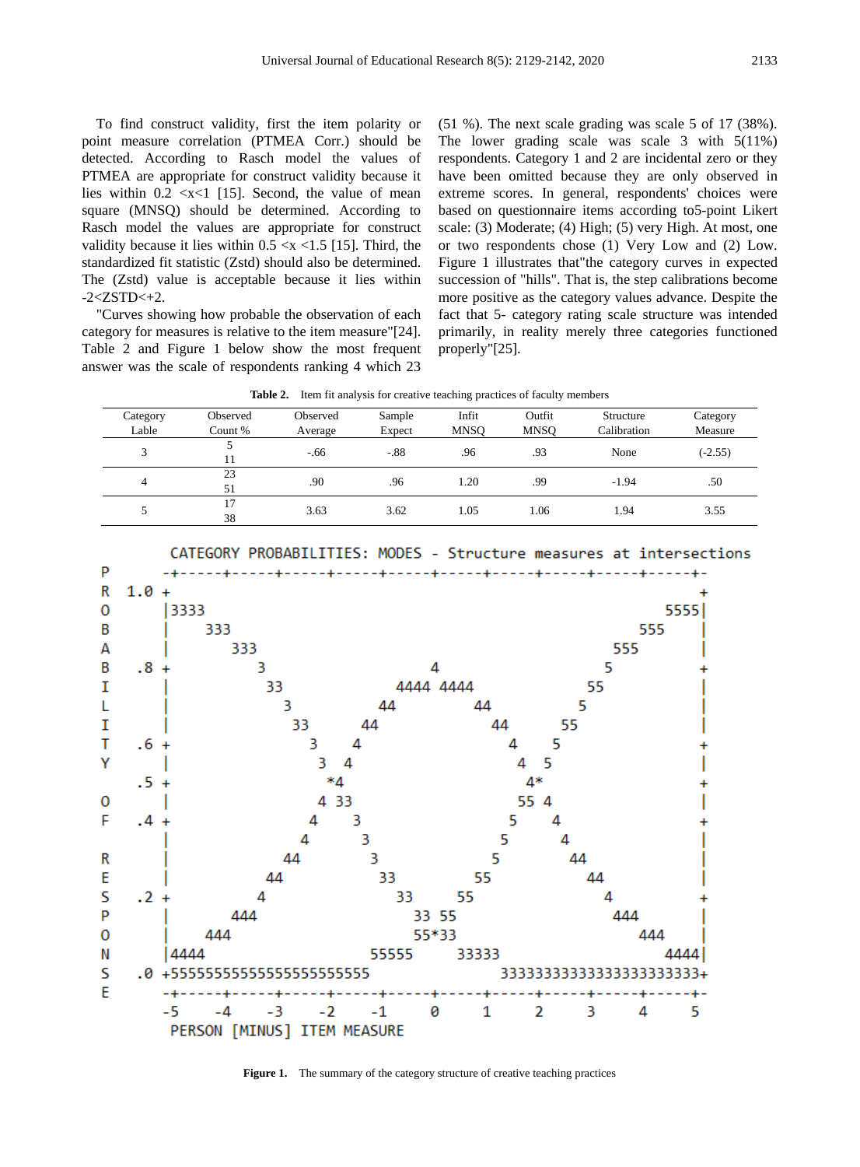To find construct validity, first the item polarity or point measure correlation (PTMEA Corr.) should be detected. According to Rasch model the values of PTMEA are appropriate for construct validity because it lies within  $0.2 \ll x \ll 1$  [15]. Second, the value of mean square (MNSQ) should be determined. According to Rasch model the values are appropriate for construct validity because it lies within  $0.5 \ll 1.5$  [15]. Third, the standardized fit statistic (Zstd) should also be determined. The (Zstd) value is acceptable because it lies within  $-2 < ZSTD < +2$ .

"Curves showing how probable the observation of each category for measures is relative to the item measure"[24]. Table 2 and Figure 1 below show the most frequent answer was the scale of respondents ranking 4 which 23

(51 %). The next scale grading was scale 5 of 17 (38%). The lower grading scale was scale 3 with 5(11%) respondents. Category 1 and 2 are incidental zero or they have been omitted because they are only observed in extreme scores. In general, respondents' choices were based on questionnaire items according to5-point Likert scale: (3) Moderate; (4) High; (5) very High. At most, one or two respondents chose (1) Very Low and (2) Low. Figure 1 illustrates that"the category curves in expected succession of "hills". That is, the step calibrations become more positive as the category values advance. Despite the fact that 5- category rating scale structure was intended primarily, in reality merely three categories functioned properly"[25].

**Table 2.** Item fit analysis for creative teaching practices of faculty members

|          |          |          |        | . .         |             |             |           |
|----------|----------|----------|--------|-------------|-------------|-------------|-----------|
| Category | Observed | Observed | Sample | Infit       | Outfit      | Structure   | Category  |
| Lable    | Count %  | Average  | Expect | <b>MNSO</b> | <b>MNSO</b> | Calibration | Measure   |
|          |          | $-.66$   | $-.88$ | .96         | .93         | None        | $(-2.55)$ |
| 4        | 23<br>51 | .90      | .96    | 1.20        | .99         | $-1.94$     | .50       |
|          | 17<br>38 | 3.63     | 3.62   | 1.05        | 1.06        | 1.94        | 3.55      |

CATEGORY PROBABILITIES: MODES - Structure measures at intersections



Figure 1. The summary of the category structure of creative teaching practices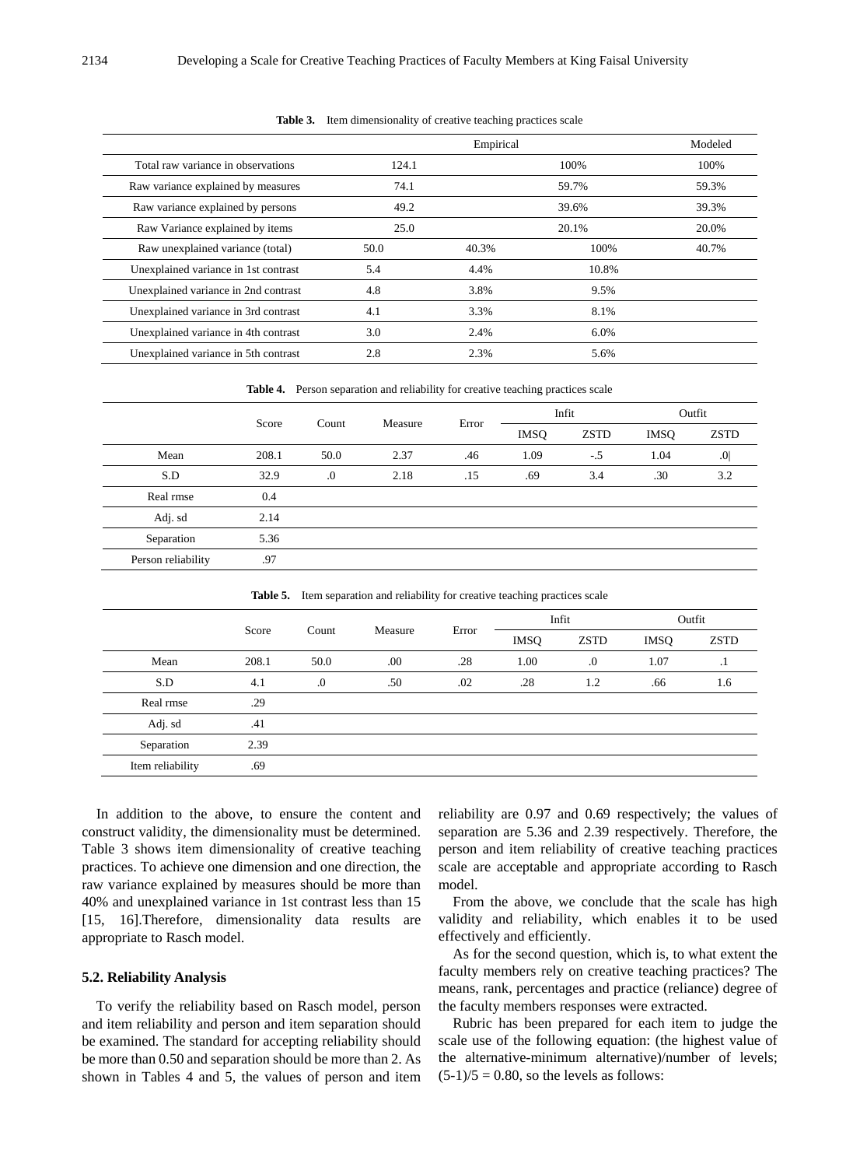|                                      |       | Empirical |       | Modeled |
|--------------------------------------|-------|-----------|-------|---------|
| Total raw variance in observations   | 124.1 |           | 100%  | 100%    |
| Raw variance explained by measures   | 74.1  |           | 59.7% | 59.3%   |
| Raw variance explained by persons    | 49.2  |           | 39.6% | 39.3%   |
| Raw Variance explained by items      | 25.0  |           | 20.1% | 20.0%   |
| Raw unexplained variance (total)     | 50.0  | 40.3%     | 100%  | 40.7%   |
| Unexplained variance in 1st contrast | 5.4   | 4.4%      | 10.8% |         |
| Unexplained variance in 2nd contrast | 4.8   | 3.8%      | 9.5%  |         |
| Unexplained variance in 3rd contrast | 4.1   | 3.3%      | 8.1%  |         |
| Unexplained variance in 4th contrast | 3.0   | 2.4%      | 6.0%  |         |
| Unexplained variance in 5th contrast | 2.8   | 2.3%      | 5.6%  |         |

**Table 3.** Item dimensionality of creative teaching practices scale

**Table 4.** Person separation and reliability for creative teaching practices scale

|                    | Score |       | Measure | Error | Infit       |             | Outfit      |                 |
|--------------------|-------|-------|---------|-------|-------------|-------------|-------------|-----------------|
|                    |       | Count |         |       | <b>IMSQ</b> | <b>ZSTD</b> | <b>IMSQ</b> | <b>ZSTD</b>     |
| Mean               | 208.1 | 50.0  | 2.37    | .46   | 1.09        | $-.5$       | 1.04        | .0 <sub>l</sub> |
| S.D                | 32.9  | .0    | 2.18    | .15   | .69         | 3.4         | .30         | 3.2             |
| Real rmse          | 0.4   |       |         |       |             |             |             |                 |
| Adj. sd            | 2.14  |       |         |       |             |             |             |                 |
| Separation         | 5.36  |       |         |       |             |             |             |                 |
| Person reliability | .97   |       |         |       |             |             |             |                 |

| Table 5. Item separation and reliability for creative teaching practices scale |  |  |  |
|--------------------------------------------------------------------------------|--|--|--|
|                                                                                |  |  |  |

|                  | Score | Count   | Measure | Error | Infit       |             | Outfit      |             |
|------------------|-------|---------|---------|-------|-------------|-------------|-------------|-------------|
|                  |       |         |         |       | <b>IMSQ</b> | <b>ZSTD</b> | <b>IMSQ</b> | <b>ZSTD</b> |
| Mean             | 208.1 | 50.0    | .00     | .28   | 1.00        | $\cdot$     | 1.07        | $\cdot$ 1   |
| S.D              | 4.1   | $\cdot$ | .50     | .02   | .28         | 1.2         | .66         | 1.6         |
| Real rmse        | .29   |         |         |       |             |             |             |             |
| Adj. sd          | .41   |         |         |       |             |             |             |             |
| Separation       | 2.39  |         |         |       |             |             |             |             |
| Item reliability | .69   |         |         |       |             |             |             |             |
|                  |       |         |         |       |             |             |             |             |

In addition to the above, to ensure the content and construct validity, the dimensionality must be determined. Table 3 shows item dimensionality of creative teaching practices. To achieve one dimension and one direction, the raw variance explained by measures should be more than 40% and unexplained variance in 1st contrast less than 15 [15, 16].Therefore, dimensionality data results are appropriate to Rasch model.

#### **5.2. Reliability Analysis**

To verify the reliability based on Rasch model, person and item reliability and person and item separation should be examined. The standard for accepting reliability should be more than 0.50 and separation should be more than 2. As shown in Tables 4 and 5, the values of person and item

reliability are 0.97 and 0.69 respectively; the values of separation are 5.36 and 2.39 respectively. Therefore, the person and item reliability of creative teaching practices scale are acceptable and appropriate according to Rasch model.

From the above, we conclude that the scale has high validity and reliability, which enables it to be used effectively and efficiently.

As for the second question, which is, to what extent the faculty members rely on creative teaching practices? The means, rank, percentages and practice (reliance) degree of the faculty members responses were extracted.

Rubric has been prepared for each item to judge the scale use of the following equation: (the highest value of the alternative-minimum alternative)/number of levels;  $(5-1)/5 = 0.80$ , so the levels as follows: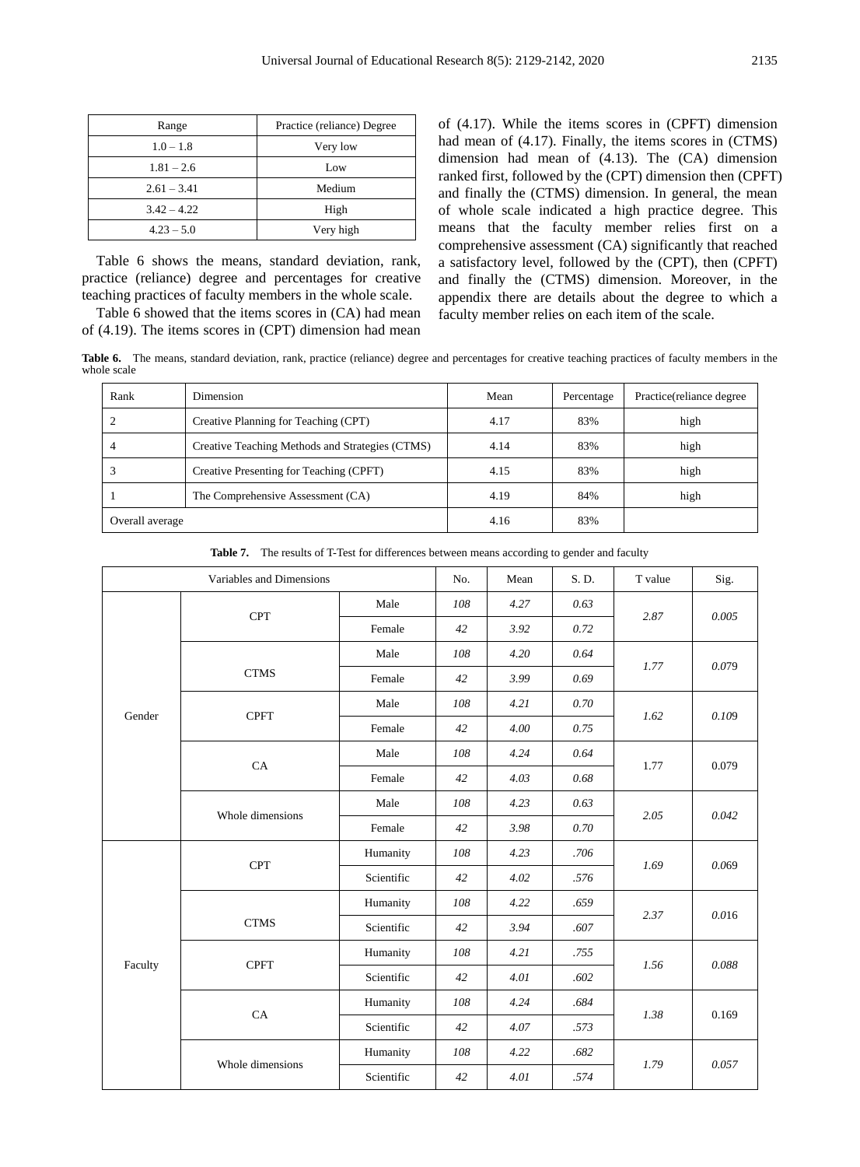| Range         | Practice (reliance) Degree |  |  |
|---------------|----------------------------|--|--|
| $1.0 - 1.8$   | Very low                   |  |  |
| $1.81 - 2.6$  | Low                        |  |  |
| $2.61 - 3.41$ | Medium                     |  |  |
| $3.42 - 4.22$ | High                       |  |  |
| $4.23 - 5.0$  | Very high                  |  |  |

Table 6 shows the means, standard deviation, rank, practice (reliance) degree and percentages for creative teaching practices of faculty members in the whole scale.

Table 6 showed that the items scores in (CA) had mean of (4.19). The items scores in (CPT) dimension had mean

of (4.17). While the items scores in (CPFT) dimension had mean of (4.17). Finally, the items scores in (CTMS) dimension had mean of (4.13). The (CA) dimension ranked first, followed by the (CPT) dimension then (CPFT) and finally the (CTMS) dimension. In general, the mean of whole scale indicated a high practice degree. This means that the faculty member relies first on a comprehensive assessment (CA) significantly that reached a satisfactory level, followed by the (CPT), then (CPFT) and finally the (CTMS) dimension. Moreover, in the appendix there are details about the degree to which a faculty member relies on each item of the scale.

**Table 6.** The means, standard deviation, rank, practice (reliance) degree and percentages for creative teaching practices of faculty members in the whole scale

| Rank            | Dimension                                       | Mean | Percentage | Practice (reliance degree) |
|-----------------|-------------------------------------------------|------|------------|----------------------------|
|                 | Creative Planning for Teaching (CPT)            | 4.17 | 83%        | high                       |
| 4               | Creative Teaching Methods and Strategies (CTMS) | 4.14 | 83%        | high                       |
|                 | Creative Presenting for Teaching (CPFT)         | 4.15 | 83%        | high                       |
|                 | The Comprehensive Assessment (CA)               | 4.19 | 84%        | high                       |
| Overall average |                                                 | 4.16 | 83%        |                            |

| Variables and Dimensions |                  |            | No. | Mean | S. D. | T value | Sig.  |
|--------------------------|------------------|------------|-----|------|-------|---------|-------|
|                          | <b>CPT</b>       | Male       | 108 | 4.27 | 0.63  | 2.87    | 0.005 |
|                          |                  | Female     | 42  | 3.92 | 0.72  |         |       |
|                          |                  | Male       | 108 | 4.20 | 0.64  |         |       |
|                          | <b>CTMS</b>      | Female     | 42  | 3.99 | 0.69  | 1.77    | 0.079 |
| Gender                   | <b>CPFT</b>      | Male       | 108 | 4.21 | 0.70  | 1.62    | 0.109 |
|                          |                  | Female     | 42  | 4.00 | 0.75  |         |       |
|                          | CA               | Male       | 108 | 4.24 | 0.64  | 1.77    | 0.079 |
|                          |                  | Female     | 42  | 4.03 | 0.68  |         |       |
|                          | Whole dimensions | Male       | 108 | 4.23 | 0.63  | 2.05    | 0.042 |
|                          |                  | Female     | 42  | 3.98 | 0.70  |         |       |
|                          | <b>CPT</b>       | Humanity   | 108 | 4.23 | .706  | 1.69    | 0.069 |
|                          |                  | Scientific | 42  | 4.02 | .576  |         |       |
|                          |                  | Humanity   | 108 | 4.22 | .659  | 2.37    | 0.016 |
|                          | <b>CTMS</b>      | Scientific | 42  | 3.94 | .607  |         |       |
| Faculty                  | <b>CPFT</b>      | Humanity   | 108 | 4.21 | .755  | 1.56    | 0.088 |
|                          |                  | Scientific | 42  | 4.01 | .602  |         |       |
|                          | CA               | Humanity   | 108 | 4.24 | .684  | 1.38    | 0.169 |
|                          |                  | Scientific | 42  | 4.07 | .573  |         |       |
|                          | Whole dimensions | Humanity   | 108 | 4.22 | .682  | 1.79    | 0.057 |
|                          |                  | Scientific | 42  | 4.01 | .574  |         |       |

**Table 7.** The results of T-Test for differences between means according to gender and faculty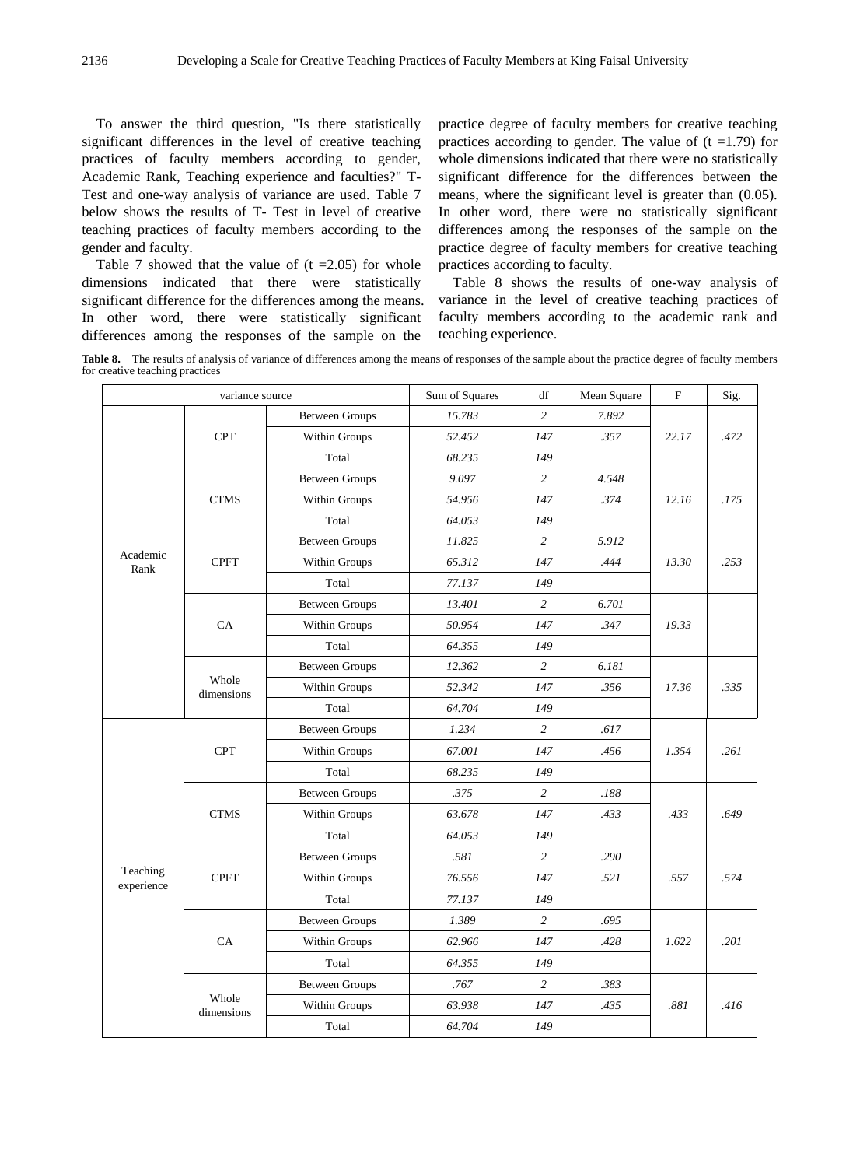To answer the third question, "Is there statistically significant differences in the level of creative teaching practices of faculty members according to gender, Academic Rank, Teaching experience and faculties?" T-Test and one-way analysis of variance are used. Table 7 below shows the results of T- Test in level of creative teaching practices of faculty members according to the gender and faculty.

Table 7 showed that the value of  $(t = 2.05)$  for whole dimensions indicated that there were statistically significant difference for the differences among the means. In other word, there were statistically significant differences among the responses of the sample on the

practice degree of faculty members for creative teaching practices according to gender. The value of  $(t = 1.79)$  for whole dimensions indicated that there were no statistically significant difference for the differences between the means, where the significant level is greater than (0.05). In other word, there were no statistically significant differences among the responses of the sample on the practice degree of faculty members for creative teaching practices according to faculty.

Table 8 shows the results of one-way analysis of variance in the level of creative teaching practices of faculty members according to the academic rank and teaching experience.

**Table 8.** The results of analysis of variance of differences among the means of responses of the sample about the practice degree of faculty members for creative teaching practices

|                        | variance source     |                       | Sum of Squares | df             | Mean Square | F     | Sig. |
|------------------------|---------------------|-----------------------|----------------|----------------|-------------|-------|------|
|                        |                     | <b>Between Groups</b> | 15.783         | $\overline{c}$ | 7.892       |       |      |
|                        | <b>CPT</b>          | Within Groups         | 52.452         | 147            | .357        | 22.17 | .472 |
|                        |                     | Total                 | 68.235         | 149            |             |       |      |
|                        |                     | <b>Between Groups</b> | 9.097          | $\overline{c}$ | 4.548       |       |      |
|                        | <b>CTMS</b>         | Within Groups         | 54.956         | 147            | .374        | 12.16 | .175 |
|                        |                     | Total                 | 64.053         | 149            |             |       |      |
|                        |                     | <b>Between Groups</b> | 11.825         | $\overline{c}$ | 5.912       |       |      |
| Academic<br>Rank       | <b>CPFT</b>         | Within Groups         | 65.312         | 147            | .444        | 13.30 | .253 |
|                        |                     | Total                 | 77.137         | 149            |             |       |      |
|                        |                     | <b>Between Groups</b> | 13.401         | 2              | 6.701       |       |      |
|                        | CA                  | Within Groups         | 50.954<br>147  |                | .347        | 19.33 |      |
|                        |                     | Total                 | 64.355         | 149            |             |       |      |
|                        |                     | <b>Between Groups</b> | 12.362         | $\overline{c}$ | 6.181       |       |      |
|                        | Whole<br>dimensions | Within Groups         | 52.342         | 147            | .356        | 17.36 | .335 |
|                        |                     | Total                 | 64.704         | 149            |             |       |      |
|                        |                     | <b>Between Groups</b> | 1.234          | $\overline{c}$ | .617        |       |      |
|                        | <b>CPT</b>          | Within Groups         | 67.001         | 147            | .456        | 1.354 | .261 |
|                        |                     | Total                 | 68.235<br>149  |                |             |       |      |
|                        |                     | <b>Between Groups</b> | .375           | $\overline{c}$ | .188        |       |      |
|                        | <b>CTMS</b>         | Within Groups         | 63.678         | 147            | .433        | .433  | .649 |
|                        |                     | Total                 | 64.053         | 149            |             |       |      |
|                        |                     | <b>Between Groups</b> | .581           | $\overline{c}$ | .290        |       |      |
| Teaching<br>experience | <b>CPFT</b>         | Within Groups         | 76.556         | 147            | .521        | .557  | .574 |
|                        |                     | Total                 | 77.137         | 149            |             |       |      |
|                        |                     | <b>Between Groups</b> | 1.389          | $\overline{c}$ | .695        |       |      |
|                        | CA                  | Within Groups         | 62.966         | 147            | .428        | 1.622 | .201 |
|                        |                     | Total                 | 64.355         | 149            |             |       |      |
|                        |                     | <b>Between Groups</b> | .767           | $\overline{c}$ | .383        |       |      |
|                        | Whole               | Within Groups         | 63.938         | 147            | .435        | .881  | .416 |
|                        | dimensions          | Total                 | 64.704         | 149            |             |       |      |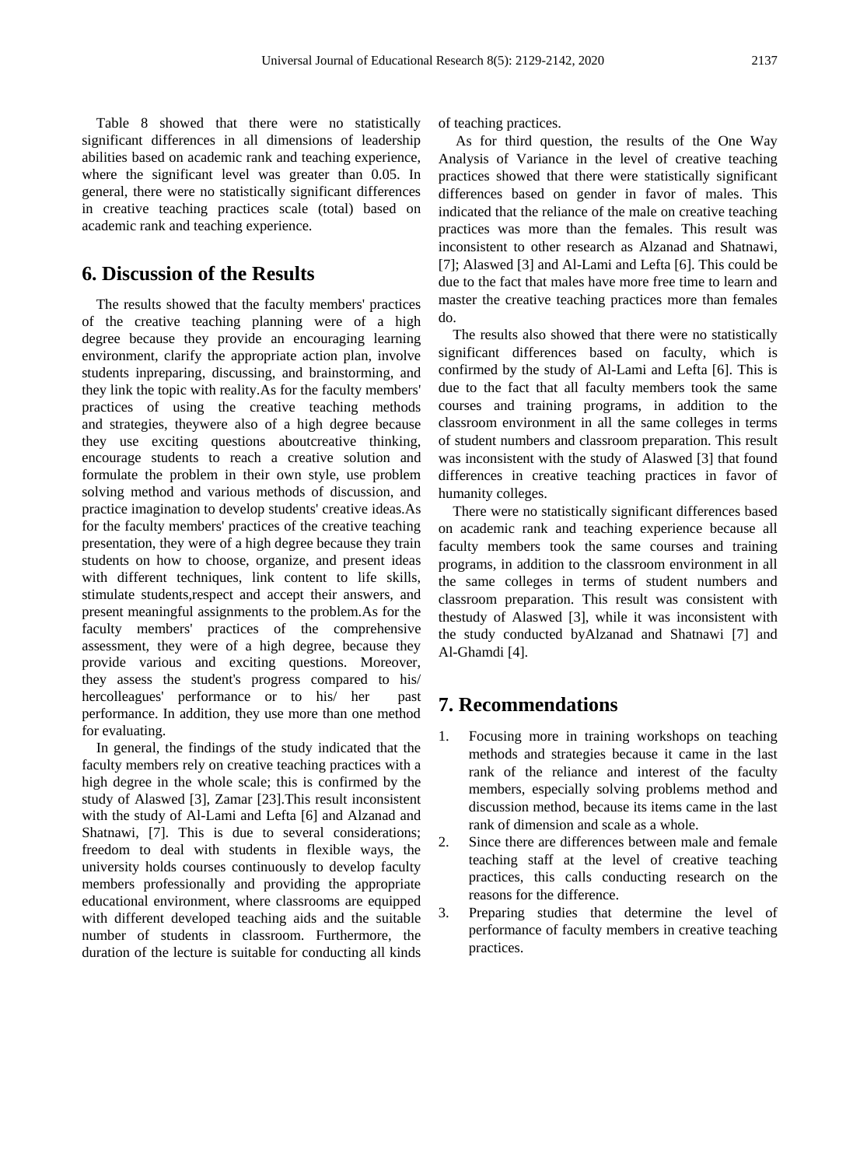Table 8 showed that there were no statistically significant differences in all dimensions of leadership abilities based on academic rank and teaching experience, where the significant level was greater than 0.05. In general, there were no statistically significant differences in creative teaching practices scale (total) based on academic rank and teaching experience.

## **6. Discussion of the Results**

The results showed that the faculty members' practices of the creative teaching planning were of a high degree because they provide an encouraging learning environment, clarify the appropriate action plan, involve students inpreparing, discussing, and brainstorming, and they link the topic with reality.As for the faculty members' practices of using the creative teaching methods and strategies, theywere also of a high degree because they use exciting questions aboutcreative thinking, encourage students to reach a creative solution and formulate the problem in their own style, use problem solving method and various methods of discussion, and practice imagination to develop students' creative ideas.As for the faculty members' practices of the creative teaching presentation, they were of a high degree because they train students on how to choose, organize, and present ideas with different techniques, link content to life skills, stimulate students,respect and accept their answers, and present meaningful assignments to the problem.As for the faculty members' practices of the comprehensive assessment, they were of a high degree, because they provide various and exciting questions. Moreover, they assess the student's progress compared to his/ hercolleagues' performance or to his/ her past performance. In addition, they use more than one method for evaluating.

In general, the findings of the study indicated that the faculty members rely on creative teaching practices with a high degree in the whole scale; this is confirmed by the study of Alaswed [3], Zamar [23].This result inconsistent with the study of Al-Lami and Lefta [6] and Alzanad and Shatnawi, [7]. This is due to several considerations; freedom to deal with students in flexible ways, the university holds courses continuously to develop faculty members professionally and providing the appropriate educational environment, where classrooms are equipped with different developed teaching aids and the suitable number of students in classroom. Furthermore, the duration of the lecture is suitable for conducting all kinds of teaching practices.

As for third question, the results of the One Way Analysis of Variance in the level of creative teaching practices showed that there were statistically significant differences based on gender in favor of males. This indicated that the reliance of the male on creative teaching practices was more than the females. This result was inconsistent to other research as Alzanad and Shatnawi, [7]; Alaswed [3] and Al-Lami and Lefta [6]. This could be due to the fact that males have more free time to learn and master the creative teaching practices more than females do.

The results also showed that there were no statistically significant differences based on faculty, which is confirmed by the study of Al-Lami and Lefta [6]. This is due to the fact that all faculty members took the same courses and training programs, in addition to the classroom environment in all the same colleges in terms of student numbers and classroom preparation. This result was inconsistent with the study of Alaswed [3] that found differences in creative teaching practices in favor of humanity colleges.

There were no statistically significant differences based on academic rank and teaching experience because all faculty members took the same courses and training programs, in addition to the classroom environment in all the same colleges in terms of student numbers and classroom preparation. This result was consistent with thestudy of Alaswed [3], while it was inconsistent with the study conducted byAlzanad and Shatnawi [7] and Al-Ghamdi [4].

#### **7. Recommendations**

- 1. Focusing more in training workshops on teaching methods and strategies because it came in the last rank of the reliance and interest of the faculty members, especially solving problems method and discussion method, because its items came in the last rank of dimension and scale as a whole.
- 2. Since there are differences between male and female teaching staff at the level of creative teaching practices, this calls conducting research on the reasons for the difference.
- 3. Preparing studies that determine the level of performance of faculty members in creative teaching practices.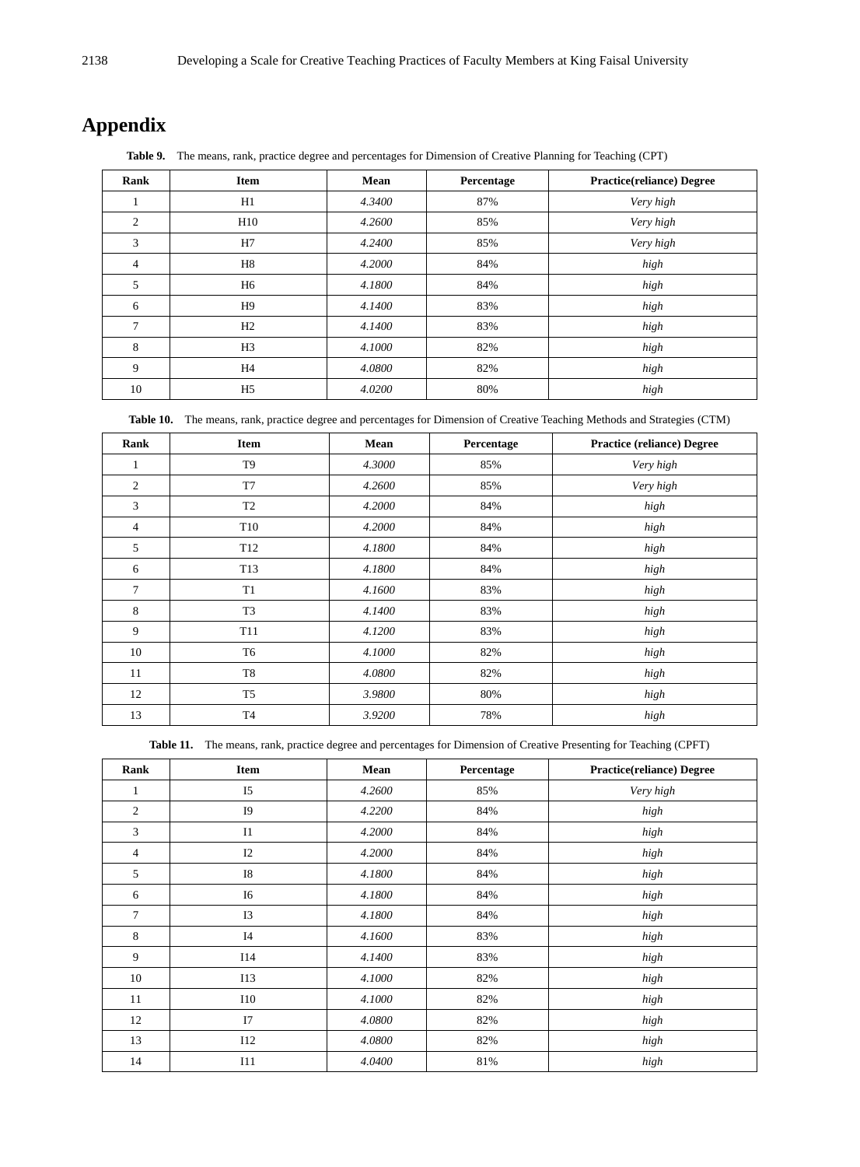# **Appendix**

**Table 9.** The means, rank, practice degree and percentages for Dimension of Creative Planning for Teaching (CPT)

| Rank | <b>Item</b>    | Mean   | Percentage | <b>Practice(reliance)</b> Degree |
|------|----------------|--------|------------|----------------------------------|
|      | H1             | 4.3400 | 87%        | Very high                        |
| 2    | H10            | 4.2600 | 85%        | Very high                        |
| 3    | H7             | 4.2400 | 85%        | Very high                        |
| 4    | H8             | 4.2000 | 84%        | high                             |
| 5    | H <sub>6</sub> | 4.1800 | 84%        | high                             |
| 6    | H <sub>9</sub> | 4.1400 | 83%        | high                             |
| 7    | H2             | 4.1400 | 83%        | high                             |
| 8    | H <sub>3</sub> | 4.1000 | 82%        | high                             |
| 9    | H <sub>4</sub> | 4.0800 | 82%        | high                             |
| 10   | H <sub>5</sub> | 4.0200 | 80%        | high                             |

**Table 10.** The means, rank, practice degree and percentages for Dimension of Creative Teaching Methods and Strategies (CTM)

| Rank | Item            | Mean   | Percentage | <b>Practice (reliance) Degree</b> |
|------|-----------------|--------|------------|-----------------------------------|
|      | T <sub>9</sub>  | 4.3000 | 85%        | Very high                         |
| 2    | T <sub>7</sub>  | 4.2600 | 85%        | Very high                         |
| 3    | T <sub>2</sub>  | 4.2000 | 84%        | high                              |
| 4    | T <sub>10</sub> | 4.2000 | 84%        | high                              |
| 5    | T <sub>12</sub> | 4.1800 | 84%        | high                              |
| 6    | T13             | 4.1800 | 84%        | high                              |
| 7    | T1              | 4.1600 | 83%        | high                              |
| 8    | T <sub>3</sub>  | 4.1400 | 83%        | high                              |
| 9    | T11             | 4.1200 | 83%        | high                              |
| 10   | T <sub>6</sub>  | 4.1000 | 82%        | high                              |
| 11   | T <sub>8</sub>  | 4.0800 | 82%        | high                              |
| 12   | T <sub>5</sub>  | 3.9800 | 80%        | high                              |
| 13   | T <sub>4</sub>  | 3.9200 | 78%        | high                              |

**Table 11.** The means, rank, practice degree and percentages for Dimension of Creative Presenting for Teaching (CPFT)

| Rank           | <b>Item</b>    | Mean   | Percentage | <b>Practice(reliance)</b> Degree |
|----------------|----------------|--------|------------|----------------------------------|
| 1              | I <sub>5</sub> | 4.2600 | 85%        | Very high                        |
| $\overline{c}$ | I9             | 4.2200 | 84%        | high                             |
| 3              | I1             | 4.2000 | 84%        | high                             |
| 4              | I2             | 4.2000 | 84%        | high                             |
| 5              | I8             | 4.1800 | 84%        | high                             |
| 6              | I6             | 4.1800 | 84%        | high                             |
| 7              | I3             | 4.1800 | 84%        | high                             |
| 8              | I4             | 4.1600 | 83%        | high                             |
| 9              | <b>I14</b>     | 4.1400 | 83%        | high                             |
| 10             | <b>I13</b>     | 4.1000 | 82%        | high                             |
| 11             | 110            | 4.1000 | 82%        | high                             |
| 12             | I7             | 4.0800 | 82%        | high                             |
| 13             | I12            | 4.0800 | 82%        | high                             |
| 14             | I11            | 4.0400 | 81%        | high                             |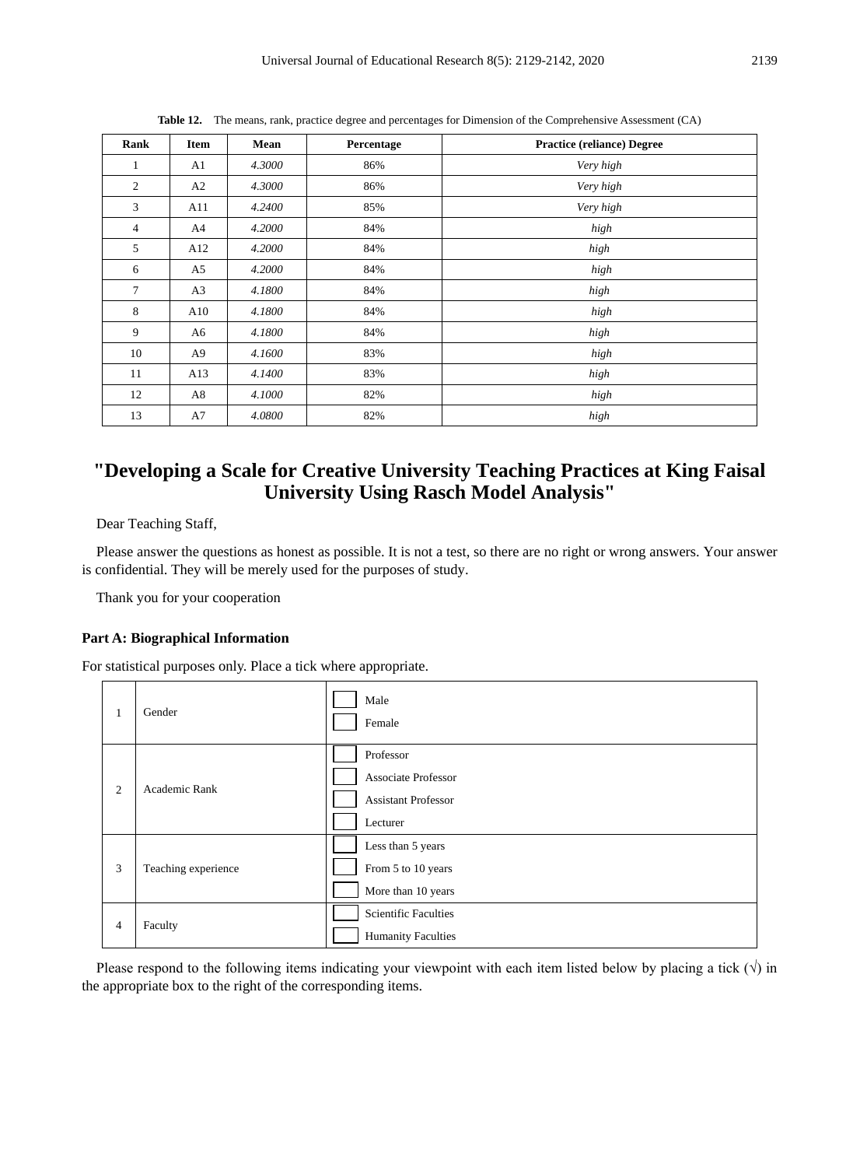| Rank           | Item           | Mean   | Percentage | <b>Practice (reliance) Degree</b> |
|----------------|----------------|--------|------------|-----------------------------------|
| 1              | A <sub>1</sub> | 4.3000 | 86%        | Very high                         |
| 2              | A2             | 4.3000 | 86%        | Very high                         |
| 3              | A11            | 4.2400 | 85%        | Very high                         |
| $\overline{4}$ | A4             | 4.2000 | 84%        | high                              |
| 5              | A12            | 4.2000 | 84%        | high                              |
| 6              | A5             | 4.2000 | 84%        | high                              |
| $\tau$         | A <sub>3</sub> | 4.1800 | 84%        | high                              |
| 8              | A10            | 4.1800 | 84%        | high                              |
| 9              | A6             | 4.1800 | 84%        | high                              |
| 10             | A <sub>9</sub> | 4.1600 | 83%        | high                              |
| 11             | A13            | 4.1400 | 83%        | high                              |
| 12             | A8             | 4.1000 | 82%        | high                              |
| 13             | A7             | 4.0800 | 82%        | high                              |

**Table 12.** The means, rank, practice degree and percentages for Dimension of the Comprehensive Assessment (CA)

# **"Developing a Scale for Creative University Teaching Practices at King Faisal University Using Rasch Model Analysis"**

Dear Teaching Staff,

Please answer the questions as honest as possible. It is not a test, so there are no right or wrong answers. Your answer is confidential. They will be merely used for the purposes of study.

Thank you for your cooperation

#### **Part A: Biographical Information**

For statistical purposes only. Place a tick where appropriate.

| 1              | Gender              | Male<br>Female                                                                    |
|----------------|---------------------|-----------------------------------------------------------------------------------|
| 2              | Academic Rank       | Professor<br><b>Associate Professor</b><br><b>Assistant Professor</b><br>Lecturer |
| 3              | Teaching experience | Less than 5 years<br>From 5 to 10 years<br>More than 10 years                     |
| $\overline{4}$ | Faculty             | Scientific Faculties<br><b>Humanity Faculties</b>                                 |

Please respond to the following items indicating your viewpoint with each item listed below by placing a tick  $(\sqrt{})$  in the appropriate box to the right of the corresponding items.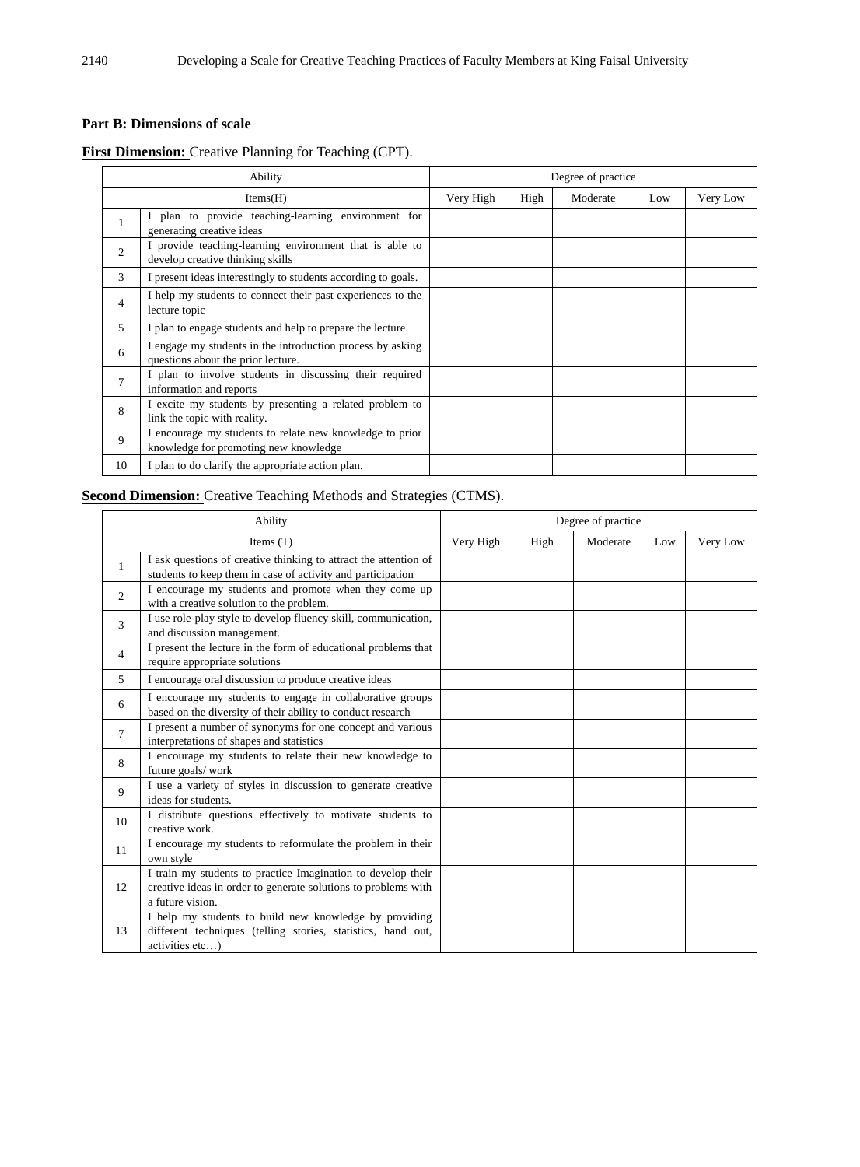#### **Part B: Dimensions of scale**

#### **First Dimension:** Creative Planning for Teaching (CPT).

| Ability        |                                                                                                   | Degree of practice |      |          |     |          |  |
|----------------|---------------------------------------------------------------------------------------------------|--------------------|------|----------|-----|----------|--|
|                | Items(H)                                                                                          | Very High          | High | Moderate | Low | Very Low |  |
| $\mathbf{1}$   | I plan to provide teaching-learning environment for<br>generating creative ideas                  |                    |      |          |     |          |  |
| 2              | I provide teaching-learning environment that is able to<br>develop creative thinking skills       |                    |      |          |     |          |  |
| 3              | I present ideas interestingly to students according to goals.                                     |                    |      |          |     |          |  |
| $\overline{4}$ | I help my students to connect their past experiences to the<br>lecture topic                      |                    |      |          |     |          |  |
| 5              | I plan to engage students and help to prepare the lecture.                                        |                    |      |          |     |          |  |
| 6              | I engage my students in the introduction process by asking<br>questions about the prior lecture.  |                    |      |          |     |          |  |
| $\overline{7}$ | I plan to involve students in discussing their required<br>information and reports                |                    |      |          |     |          |  |
| 8              | I excite my students by presenting a related problem to<br>link the topic with reality.           |                    |      |          |     |          |  |
| 9              | I encourage my students to relate new knowledge to prior<br>knowledge for promoting new knowledge |                    |      |          |     |          |  |
| 10             | I plan to do clarify the appropriate action plan.                                                 |                    |      |          |     |          |  |

#### **Second Dimension:** Creative Teaching Methods and Strategies (CTMS).

|                | Ability                                                                                                                                            | Degree of practice |      |          |     |          |
|----------------|----------------------------------------------------------------------------------------------------------------------------------------------------|--------------------|------|----------|-----|----------|
|                | Items $(T)$                                                                                                                                        | Very High          | High | Moderate | Low | Very Low |
| $\mathbf{1}$   | I ask questions of creative thinking to attract the attention of<br>students to keep them in case of activity and participation                    |                    |      |          |     |          |
| $\overline{c}$ | I encourage my students and promote when they come up<br>with a creative solution to the problem.                                                  |                    |      |          |     |          |
| 3              | I use role-play style to develop fluency skill, communication,<br>and discussion management.                                                       |                    |      |          |     |          |
| $\overline{4}$ | I present the lecture in the form of educational problems that<br>require appropriate solutions                                                    |                    |      |          |     |          |
| 5              | I encourage oral discussion to produce creative ideas                                                                                              |                    |      |          |     |          |
| 6              | I encourage my students to engage in collaborative groups<br>based on the diversity of their ability to conduct research                           |                    |      |          |     |          |
| $\tau$         | I present a number of synonyms for one concept and various<br>interpretations of shapes and statistics                                             |                    |      |          |     |          |
| 8              | I encourage my students to relate their new knowledge to<br>future goals/work                                                                      |                    |      |          |     |          |
| 9              | I use a variety of styles in discussion to generate creative<br>ideas for students.                                                                |                    |      |          |     |          |
| 10             | I distribute questions effectively to motivate students to<br>creative work.                                                                       |                    |      |          |     |          |
| 11             | I encourage my students to reformulate the problem in their<br>own style                                                                           |                    |      |          |     |          |
| 12             | I train my students to practice Imagination to develop their<br>creative ideas in order to generate solutions to problems with<br>a future vision. |                    |      |          |     |          |
| 13             | I help my students to build new knowledge by providing<br>different techniques (telling stories, statistics, hand out,<br>activities etc)          |                    |      |          |     |          |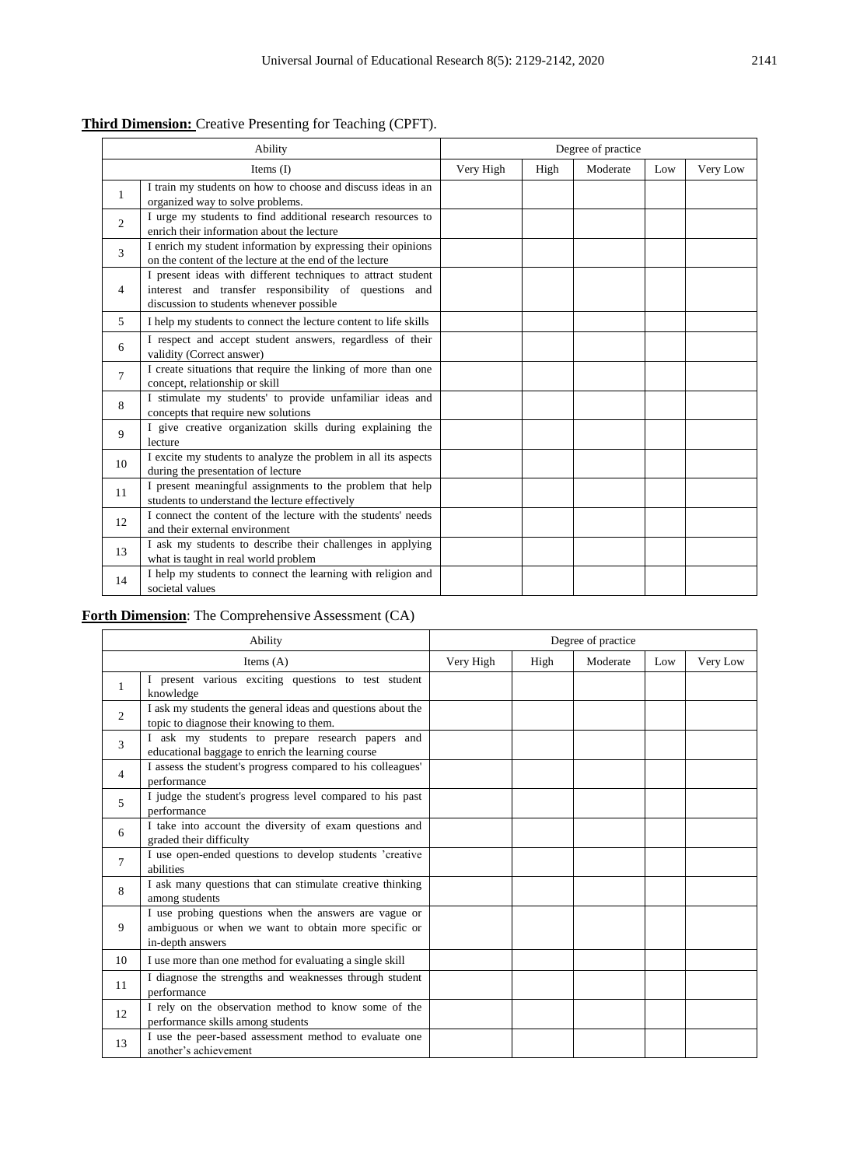| <b>Third Dimension:</b> Creative Presenting for Teaching (CPFT). |  |  |  |  |  |
|------------------------------------------------------------------|--|--|--|--|--|
|------------------------------------------------------------------|--|--|--|--|--|

| Ability        |                                                                                                                                                                   | Degree of practice |  |  |          |  |
|----------------|-------------------------------------------------------------------------------------------------------------------------------------------------------------------|--------------------|--|--|----------|--|
|                | Very High<br>Moderate<br>Items $(I)$<br>High<br>Low                                                                                                               |                    |  |  | Very Low |  |
| $\mathbf{1}$   | I train my students on how to choose and discuss ideas in an<br>organized way to solve problems.                                                                  |                    |  |  |          |  |
| $\overline{c}$ | I urge my students to find additional research resources to<br>enrich their information about the lecture                                                         |                    |  |  |          |  |
| 3              | I enrich my student information by expressing their opinions<br>on the content of the lecture at the end of the lecture                                           |                    |  |  |          |  |
| 4              | I present ideas with different techniques to attract student<br>interest and transfer responsibility of questions and<br>discussion to students whenever possible |                    |  |  |          |  |
| 5              | I help my students to connect the lecture content to life skills                                                                                                  |                    |  |  |          |  |
| 6              | I respect and accept student answers, regardless of their<br>validity (Correct answer)                                                                            |                    |  |  |          |  |
| $\tau$         | I create situations that require the linking of more than one<br>concept, relationship or skill                                                                   |                    |  |  |          |  |
| 8              | I stimulate my students' to provide unfamiliar ideas and<br>concepts that require new solutions                                                                   |                    |  |  |          |  |
| 9              | I give creative organization skills during explaining the<br>lecture                                                                                              |                    |  |  |          |  |
| 10             | I excite my students to analyze the problem in all its aspects<br>during the presentation of lecture                                                              |                    |  |  |          |  |
| 11             | I present meaningful assignments to the problem that help<br>students to understand the lecture effectively                                                       |                    |  |  |          |  |
| 12             | I connect the content of the lecture with the students' needs<br>and their external environment                                                                   |                    |  |  |          |  |
| 13             | I ask my students to describe their challenges in applying<br>what is taught in real world problem                                                                |                    |  |  |          |  |
| 14             | I help my students to connect the learning with religion and<br>societal values                                                                                   |                    |  |  |          |  |

#### **Forth Dimension**: The Comprehensive Assessment (CA)

| Ability        |                                                                                                                                   | Degree of practice |      |          |     |          |
|----------------|-----------------------------------------------------------------------------------------------------------------------------------|--------------------|------|----------|-----|----------|
|                | Items $(A)$                                                                                                                       | Very High          | High | Moderate | Low | Very Low |
| $\mathbf{1}$   | I present various exciting questions to test student<br>knowledge                                                                 |                    |      |          |     |          |
| $\overline{2}$ | I ask my students the general ideas and questions about the<br>topic to diagnose their knowing to them.                           |                    |      |          |     |          |
| 3              | I ask my students to prepare research papers and<br>educational baggage to enrich the learning course                             |                    |      |          |     |          |
| 4              | I assess the student's progress compared to his colleagues'<br>performance                                                        |                    |      |          |     |          |
| 5              | I judge the student's progress level compared to his past<br>performance                                                          |                    |      |          |     |          |
| 6              | I take into account the diversity of exam questions and<br>graded their difficulty                                                |                    |      |          |     |          |
| 7              | I use open-ended questions to develop students 'creative<br>abilities                                                             |                    |      |          |     |          |
| 8              | I ask many questions that can stimulate creative thinking<br>among students                                                       |                    |      |          |     |          |
| 9              | I use probing questions when the answers are vague or<br>ambiguous or when we want to obtain more specific or<br>in-depth answers |                    |      |          |     |          |
| 10             | I use more than one method for evaluating a single skill                                                                          |                    |      |          |     |          |
| 11             | I diagnose the strengths and weaknesses through student<br>performance                                                            |                    |      |          |     |          |
| 12             | I rely on the observation method to know some of the<br>performance skills among students                                         |                    |      |          |     |          |
| 13             | I use the peer-based assessment method to evaluate one<br>another's achievement                                                   |                    |      |          |     |          |